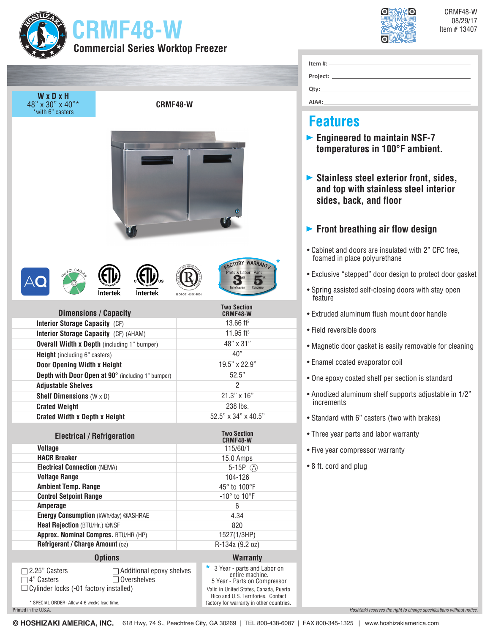| <b>CRMF48-W</b><br><b>Commercial Series Worktop Freezer</b>                                               |                                 | CRMF48-W<br>Item #13407<br>Item $#$ :                                          | 08/29/17                                                                                                  |  |
|-----------------------------------------------------------------------------------------------------------|---------------------------------|--------------------------------------------------------------------------------|-----------------------------------------------------------------------------------------------------------|--|
| WxDxH<br>48" x 30" x 40"*<br><b>CRMF48-W</b><br>*with 6" casters                                          |                                 |                                                                                | Qty:<br>AIAH:                                                                                             |  |
|                                                                                                           |                                 | <b>Features</b>                                                                |                                                                                                           |  |
|                                                                                                           |                                 |                                                                                | $\triangleright$ Engineered to maintain NSF-7<br>temperatures in 100°F ambient.                           |  |
|                                                                                                           |                                 |                                                                                | Stainless steel exterior front, sides,<br>and top with stainless steel interior<br>sides, back, and floor |  |
|                                                                                                           |                                 |                                                                                | $\blacktriangleright$ Front breathing air flow design                                                     |  |
|                                                                                                           |                                 |                                                                                | • Cabinet and doors are insulated with 2" CFC free,<br>foamed in place polyurethane                       |  |
|                                                                                                           |                                 | <b>ACTORY WARRANTL</b><br>Parts & Labor Parts                                  | • Exclusive "stepped" door design to protect door gasket                                                  |  |
| <b>Intertek</b><br>Intertek                                                                               |                                 | Entire Machine                                                                 | • Spring assisted self-closing doors with stay open<br>feature                                            |  |
| <b>Dimensions / Capacity</b>                                                                              |                                 | <b>Two Section</b><br>CRMF48-W                                                 | • Extruded aluminum flush mount door handle                                                               |  |
| Interior Storage Capacity (CF)                                                                            |                                 | 13.66 ft <sup>3</sup>                                                          | • Field reversible doors                                                                                  |  |
| Interior Storage Capacity (CF) (AHAM)                                                                     |                                 | 11.95 ft <sup>3</sup>                                                          |                                                                                                           |  |
| <b>Overall Width x Depth (including 1" bumper)</b><br><b>Height</b> (including 6" casters)                |                                 | 48" x 31"<br>• Magnetic door gasket is easily removable for cleaning<br>40"    |                                                                                                           |  |
| Door Opening Width x Height                                                                               |                                 | 19.5" x 22.9"                                                                  | • Enamel coated evaporator coil                                                                           |  |
| Depth with Door Open at 90° (including 1" bumper)                                                         |                                 | 52.5"                                                                          | • One epoxy coated shelf per section is standard                                                          |  |
| <b>Adjustable Shelves</b>                                                                                 |                                 | 2                                                                              |                                                                                                           |  |
| <b>Shelf Dimensions</b> $(W \times D)$                                                                    |                                 | $21.3" \times 16"$                                                             | • Anodized aluminum shelf supports adjustable in 1/2"<br>increments                                       |  |
| <b>Crated Weight</b>                                                                                      |                                 | 238 lbs.                                                                       |                                                                                                           |  |
| <b>Crated Width x Depth x Height</b>                                                                      |                                 | 52.5" x 34" x 40.5"                                                            | • Standard with 6" casters (two with brakes)                                                              |  |
| <b>Electrical / Refrigeration</b>                                                                         |                                 | <b>Two Section</b>                                                             | • Three year parts and labor warranty                                                                     |  |
| <b>Voltage</b>                                                                                            |                                 | CRMF48-W<br>115/60/1                                                           | • Five year compressor warranty                                                                           |  |
| <b>HACR Breaker</b>                                                                                       |                                 | 15.0 Amps                                                                      |                                                                                                           |  |
| <b>Electrical Connection (NEMA)</b>                                                                       |                                 | 5-15P $\binom{1}{1}$                                                           | • 8 ft. cord and plug                                                                                     |  |
| <b>Voltage Range</b>                                                                                      |                                 | 104-126                                                                        |                                                                                                           |  |
| <b>Ambient Temp. Range</b>                                                                                |                                 | 45° to 100°F                                                                   |                                                                                                           |  |
| <b>Control Setpoint Range</b>                                                                             |                                 | $-10^\circ$ to $10^\circ$ F                                                    |                                                                                                           |  |
| Amperage                                                                                                  |                                 | 6                                                                              |                                                                                                           |  |
| Energy Consumption (kWh/day) @ASHRAE                                                                      |                                 | 4.34                                                                           |                                                                                                           |  |
| Heat Rejection (BTU/Hr.) @NSF<br>Approx. Nominal Compres. BTU/HR (HP)                                     |                                 | 820                                                                            |                                                                                                           |  |
| Refrigerant / Charge Amount (oz)                                                                          |                                 | 1527(1/3HP)<br>R-134a (9.2 oz)                                                 |                                                                                                           |  |
| <b>Options</b>                                                                                            |                                 | <b>Warranty</b>                                                                |                                                                                                           |  |
|                                                                                                           |                                 | * 3 Year - parts and Labor on                                                  |                                                                                                           |  |
| 2.25" Casters<br>$\Box$ 4" Casters<br>$\Box$ Overshelves<br>$\Box$ Cylinder locks (-01 factory installed) | $\Box$ Additional epoxy shelves |                                                                                |                                                                                                           |  |
| * SPECIAL ORDER- Allow 4-6 weeks lead time.                                                               |                                 | Rico and U.S. Territories. Contact<br>factory for warranty in other countries. |                                                                                                           |  |

*Hoshizaki reserves the right to change specifications without notice.*

Printed in the U.S.A.